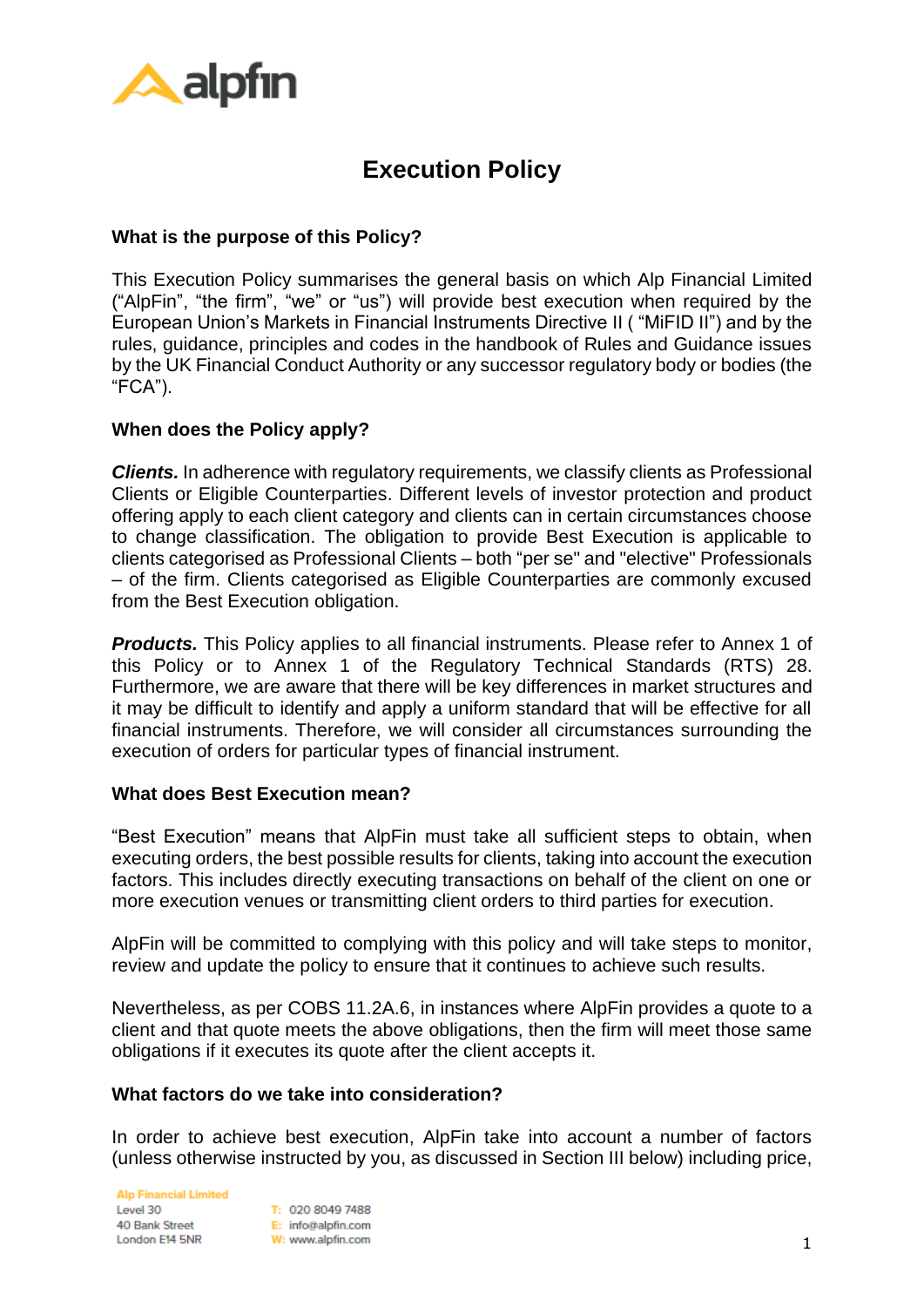

# **Execution Policy**

## **What is the purpose of this Policy?**

This Execution Policy summarises the general basis on which Alp Financial Limited ("AlpFin", "the firm", "we" or "us") will provide best execution when required by the European Union's Markets in Financial Instruments Directive II ( "MiFID II") and by the rules, guidance, principles and codes in the handbook of Rules and Guidance issues by the UK Financial Conduct Authority or any successor regulatory body or bodies (the "FCA").

#### **When does the Policy apply?**

*Clients.* In adherence with regulatory requirements, we classify clients as Professional Clients or Eligible Counterparties. Different levels of investor protection and product offering apply to each client category and clients can in certain circumstances choose to change classification. The obligation to provide Best Execution is applicable to clients categorised as Professional Clients – both "per se" and "elective" Professionals – of the firm. Clients categorised as Eligible Counterparties are commonly excused from the Best Execution obligation.

*Products.* This Policy applies to all financial instruments. Please refer to Annex 1 of this Policy or to Annex 1 of the Regulatory Technical Standards (RTS) 28. Furthermore, we are aware that there will be key differences in market structures and it may be difficult to identify and apply a uniform standard that will be effective for all financial instruments. Therefore, we will consider all circumstances surrounding the execution of orders for particular types of financial instrument.

#### **What does Best Execution mean?**

"Best Execution" means that AlpFin must take all sufficient steps to obtain, when executing orders, the best possible results for clients, taking into account the execution factors. This includes directly executing transactions on behalf of the client on one or more execution venues or transmitting client orders to third parties for execution.

AlpFin will be committed to complying with this policy and will take steps to monitor, review and update the policy to ensure that it continues to achieve such results.

Nevertheless, as per COBS 11.2A.6, in instances where AlpFin provides a quote to a client and that quote meets the above obligations, then the firm will meet those same obligations if it executes its quote after the client accepts it.

#### **What factors do we take into consideration?**

In order to achieve best execution, AlpFin take into account a number of factors (unless otherwise instructed by you, as discussed in Section III below) including price,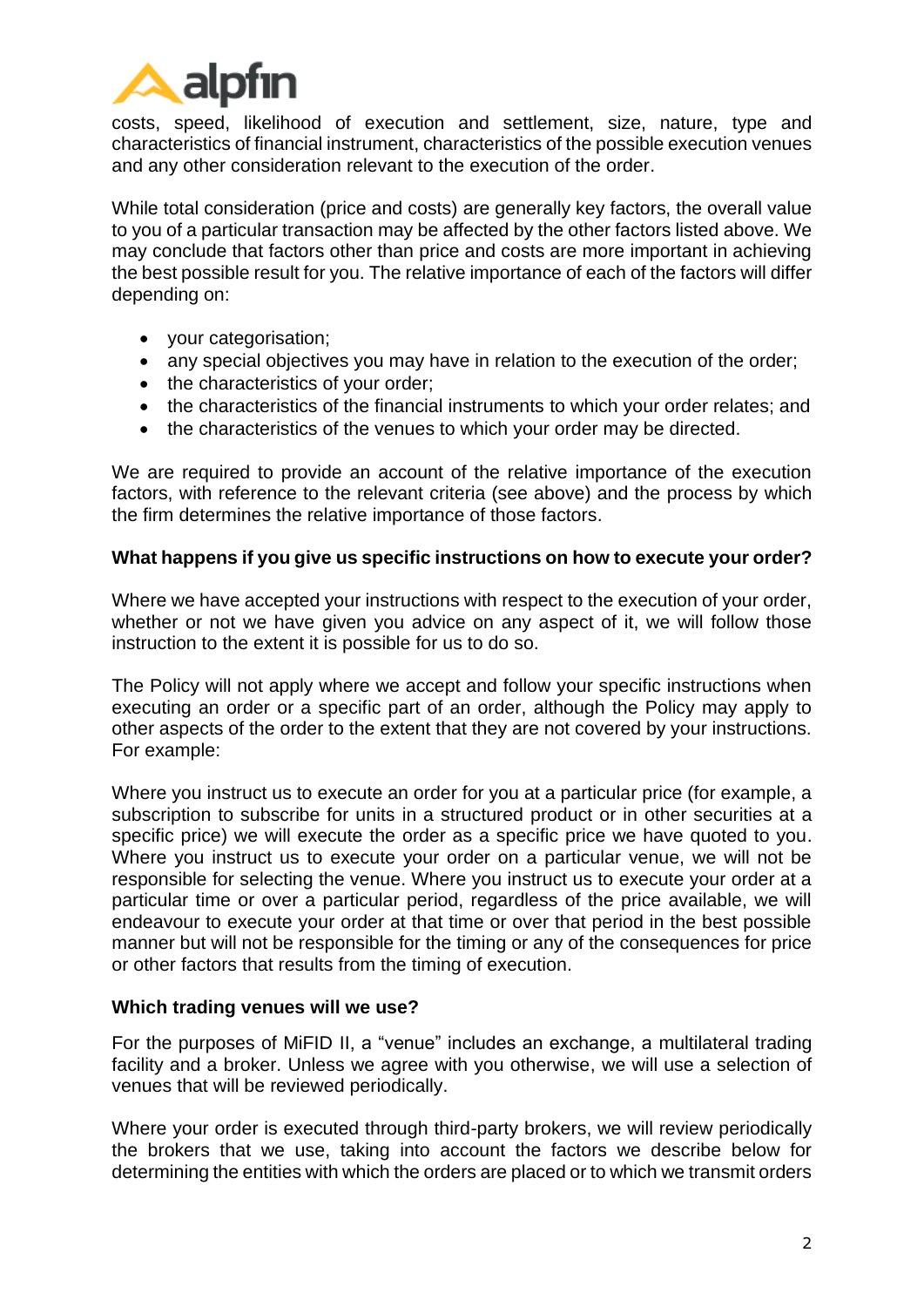

costs, speed, likelihood of execution and settlement, size, nature, type and characteristics of financial instrument, characteristics of the possible execution venues and any other consideration relevant to the execution of the order.

While total consideration (price and costs) are generally key factors, the overall value to you of a particular transaction may be affected by the other factors listed above. We may conclude that factors other than price and costs are more important in achieving the best possible result for you. The relative importance of each of the factors will differ depending on:

- your categorisation;
- any special objectives you may have in relation to the execution of the order;
- the characteristics of your order;
- the characteristics of the financial instruments to which your order relates; and
- the characteristics of the venues to which your order may be directed.

We are required to provide an account of the relative importance of the execution factors, with reference to the relevant criteria (see above) and the process by which the firm determines the relative importance of those factors.

#### **What happens if you give us specific instructions on how to execute your order?**

Where we have accepted your instructions with respect to the execution of your order, whether or not we have given you advice on any aspect of it, we will follow those instruction to the extent it is possible for us to do so.

The Policy will not apply where we accept and follow your specific instructions when executing an order or a specific part of an order, although the Policy may apply to other aspects of the order to the extent that they are not covered by your instructions. For example:

Where you instruct us to execute an order for you at a particular price (for example, a subscription to subscribe for units in a structured product or in other securities at a specific price) we will execute the order as a specific price we have quoted to you. Where you instruct us to execute your order on a particular venue, we will not be responsible for selecting the venue. Where you instruct us to execute your order at a particular time or over a particular period, regardless of the price available, we will endeavour to execute your order at that time or over that period in the best possible manner but will not be responsible for the timing or any of the consequences for price or other factors that results from the timing of execution.

#### **Which trading venues will we use?**

For the purposes of MiFID II, a "venue" includes an exchange, a multilateral trading facility and a broker. Unless we agree with you otherwise, we will use a selection of venues that will be reviewed periodically.

Where your order is executed through third-party brokers, we will review periodically the brokers that we use, taking into account the factors we describe below for determining the entities with which the orders are placed or to which we transmit orders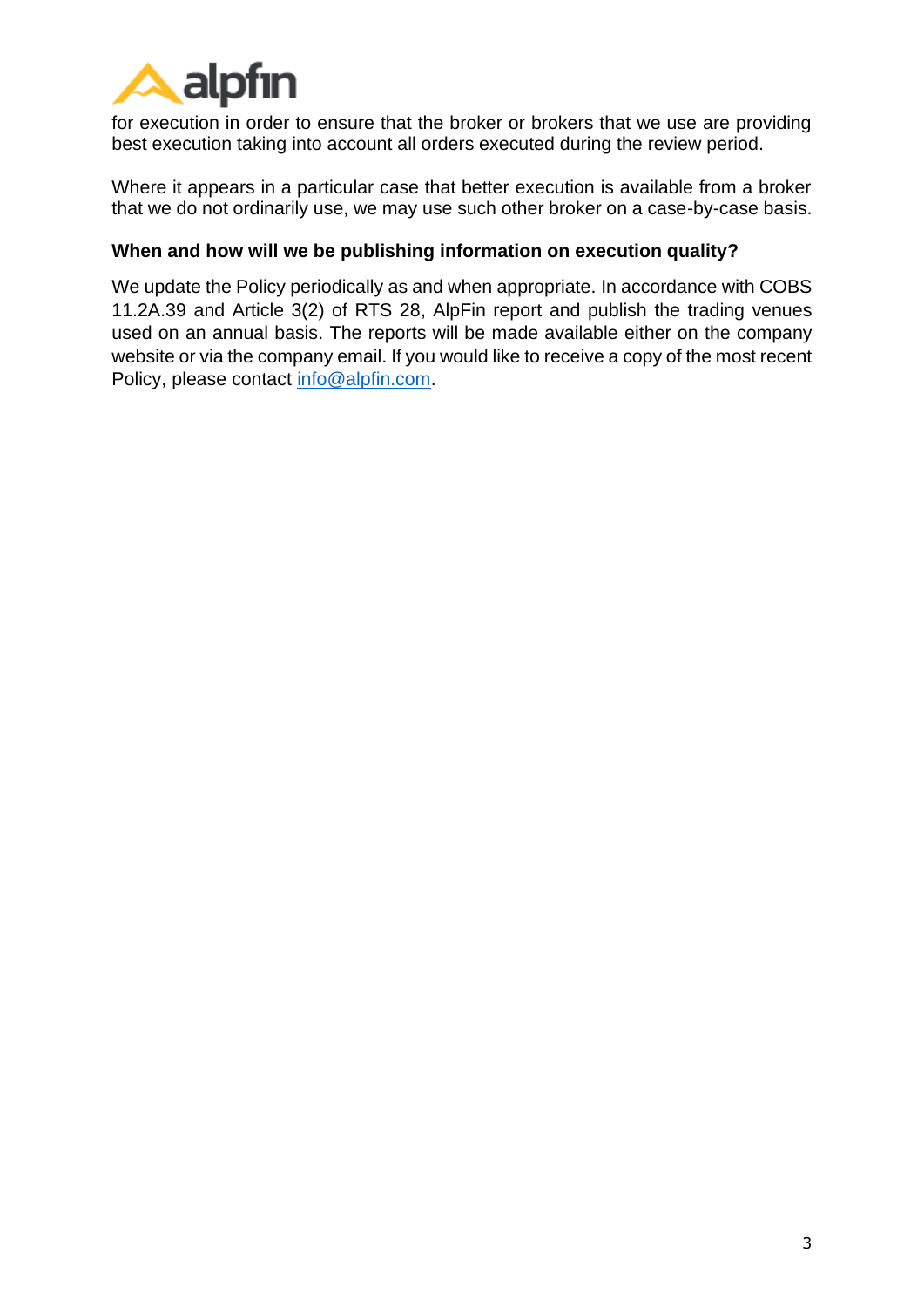

for execution in order to ensure that the broker or brokers that we use are providing best execution taking into account all orders executed during the review period.

Where it appears in a particular case that better execution is available from a broker that we do not ordinarily use, we may use such other broker on a case-by-case basis.

# **When and how will we be publishing information on execution quality?**

We update the Policy periodically as and when appropriate. In accordance with COBS 11.2A.39 and Article 3(2) of RTS 28, AlpFin report and publish the trading venues used on an annual basis. The reports will be made available either on the company website or via the company email. If you would like to receive a copy of the most recent Policy, please contact [info@alpfin.com.](mailto:info@alpfin.com)